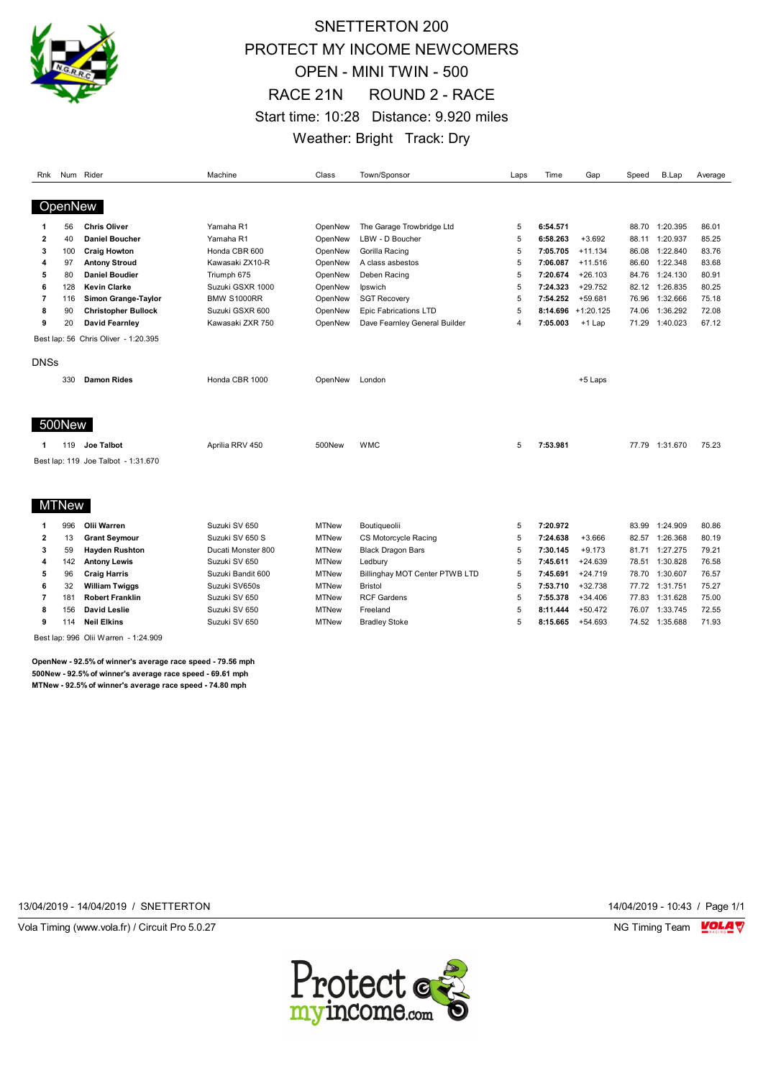

### SNETTERTON 200 PROTECT MY INCOME NEWCOMERS OPEN - MINI TWIN - 500 RACE 21N ROUND 2 - RACE Start time: 10:28 Distance: 9.920 miles Weather: Bright Track: Dry

| Rnk         |              | Num Rider                            | Machine            | Class   | Town/Sponsor                  | Laps           | Time     | Gap                   | Speed | B.Lap          | Average |
|-------------|--------------|--------------------------------------|--------------------|---------|-------------------------------|----------------|----------|-----------------------|-------|----------------|---------|
|             | OpenNew      |                                      |                    |         |                               |                |          |                       |       |                |         |
|             | 56           | <b>Chris Oliver</b>                  | Yamaha R1          | OpenNew | The Garage Trowbridge Ltd     | 5              | 6:54.571 |                       | 88.70 | 1:20.395       | 86.01   |
| 2           | 40           | <b>Daniel Boucher</b>                | Yamaha R1          | OpenNew | LBW - D Boucher               |                | 6:58.263 | $+3.692$              | 88.11 | 1:20.937       | 85.25   |
| 3           | 100          | <b>Craig Howton</b>                  | Honda CBR 600      | OpenNew | Gorilla Racing                | 5              | 7:05.705 | $+11.134$             | 86.08 | 1:22.840       | 83.76   |
| 4           | 97           | <b>Antony Stroud</b>                 | Kawasaki ZX10-R    | OpenNew | A class asbestos              | 5              | 7:06.087 | $+11.516$             | 86.60 | 1:22.348       | 83.68   |
| 5           | 80           | <b>Daniel Boudier</b>                | Triumph 675        | OpenNew | Deben Racing                  | 5              | 7:20.674 | $+26.103$             | 84.76 | 1:24.130       | 80.91   |
| 6           | 128          | <b>Kevin Clarke</b>                  | Suzuki GSXR 1000   | OpenNew | Ipswich                       | 5              | 7:24.323 | $+29.752$             | 82.12 | 1:26.835       | 80.25   |
| 7           | 116          | Simon Grange-Taylor                  | <b>BMW S1000RR</b> | OpenNew | <b>SGT Recovery</b>           | 5              | 7:54.252 | +59.681               | 76.96 | 1:32.666       | 75.18   |
| 8           | 90           | <b>Christopher Bullock</b>           | Suzuki GSXR 600    | OpenNew | <b>Epic Fabrications LTD</b>  | 5              |          | $8:14.696 + 1:20.125$ | 74.06 | 1:36.292       | 72.08   |
| 9           | 20           | David Fearnley                       | Kawasaki ZXR 750   | OpenNew | Dave Fearnley General Builder | $\overline{4}$ | 7:05.003 | +1 Lap                | 71.29 | 1:40.023       | 67.12   |
|             |              | Best lap: 56 Chris Oliver - 1:20.395 |                    |         |                               |                |          |                       |       |                |         |
| <b>DNSs</b> |              |                                      |                    |         |                               |                |          |                       |       |                |         |
|             | 330          | <b>Damon Rides</b>                   | Honda CBR 1000     | OpenNew | London                        |                |          | +5 Laps               |       |                |         |
|             | 500New       |                                      |                    |         |                               |                |          |                       |       |                |         |
| 1           | 119          | Joe Talbot                           | Aprilia RRV 450    | 500New  | <b>WMC</b>                    | 5              | 7:53.981 |                       |       | 77.79 1:31.670 | 75.23   |
|             |              | Best lap: 119 Joe Talbot - 1:31.670  |                    |         |                               |                |          |                       |       |                |         |
|             | <b>MTNew</b> |                                      |                    |         |                               |                |          |                       |       |                |         |

|    | 996 | Olii Warren            | Suzuki SV 650      | <b>MTNew</b> | Boutiqueolii                   | 5 | 7:20.972 |           | 83.99 | 1:24.909 | 80.86 |
|----|-----|------------------------|--------------------|--------------|--------------------------------|---|----------|-----------|-------|----------|-------|
|    |     | <b>Grant Seymour</b>   | Suzuki SV 650 S    | <b>MTNew</b> | CS Motorcycle Racing           |   | 7:24.638 | $+3.666$  | 82.57 | 1:26.368 | 80.19 |
| з  | 59  | <b>Havden Rushton</b>  | Ducati Monster 800 | <b>MTNew</b> | <b>Black Dragon Bars</b>       |   | 7:30.145 | $+9.173$  | 81.71 | 1:27.275 | 79.21 |
| 4  | 142 | <b>Antony Lewis</b>    | Suzuki SV 650      | MTNew        | Ledbury                        |   | 7:45.611 | $+24.639$ | 78.51 | 1:30.828 | 76.58 |
| 5. | 96  | Craig Harris           | Suzuki Bandit 600  | <b>MTNew</b> | Billinghay MOT Center PTWB LTD |   | 7:45.691 | $+24.719$ | 78.70 | 1:30.607 | 76.57 |
| 6  | 32  | <b>William Twiggs</b>  | Suzuki SV650s      | <b>MTNew</b> | <b>Bristol</b>                 |   | 7:53.710 | $+32.738$ | 77.72 | 1:31.751 | 75.27 |
|    | 18′ | <b>Robert Franklin</b> | Suzuki SV 650      | MTNew        | <b>RCF Gardens</b>             |   | 7:55.378 | $+34.406$ | 77.83 | 1:31.628 | 75.00 |
| 8  | 156 | David Leslie           | Suzuki SV 650      | <b>MTNew</b> | Freeland                       |   | 8:11.444 | $+50.472$ | 76.07 | 1:33.745 | 72.55 |
|    | 114 | <b>Neil Elkins</b>     | Suzuki SV 650      | <b>MTNew</b> | <b>Bradley Stoke</b>           |   | 8:15.665 | $+54.693$ | 74.52 | 1:35.688 | 71.93 |

Best lap: 996 Olii Warren - 1:24.909

**OpenNew - 92.5% of winner's average race speed - 79.56 mph 500New - 92.5% of winner's average race speed - 69.61 mph MTNew - 92.5% of winner's average race speed - 74.80 mph**

13/04/2019 - 14/04/2019 / SNETTERTON 14/04/2019 - 10:43 / Page 1/1



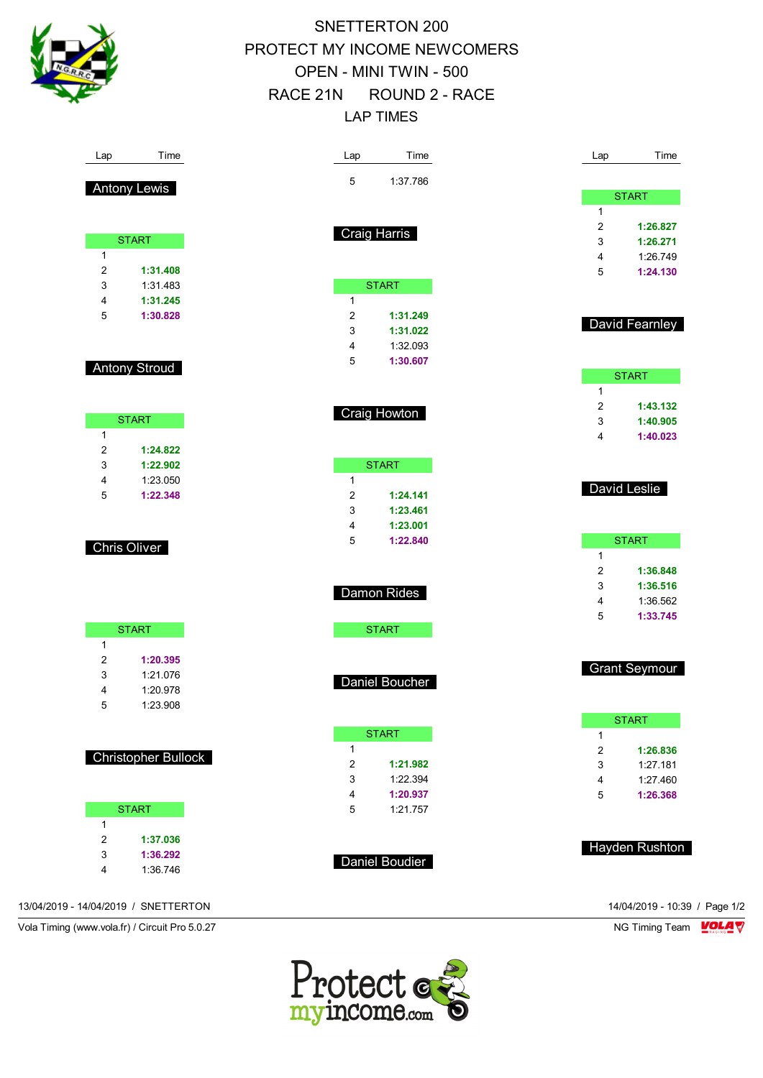

# SNETTERTON 200 PROTECT MY INCOME NEWCOMERS OPEN - MINI TWIN - 500 RACE 21N ROUND 2 - RACE LAP TIMES

| Lap          | Time                       | Time<br>Lap                    | Lap    | Time                 |
|--------------|----------------------------|--------------------------------|--------|----------------------|
|              | <b>Antony Lewis</b>        | $\mathbf 5$<br>1:37.786        |        |                      |
|              |                            |                                |        | <b>START</b>         |
|              |                            |                                | 1      |                      |
|              | <b>START</b>               | <b>Craig Harris</b>            | 2<br>3 | 1:26.827             |
| $\mathbf{1}$ |                            |                                | 4      | 1:26.271<br>1:26.749 |
| 2            | 1:31.408                   |                                | 5      | 1:24.130             |
| 3            | 1:31.483                   | <b>START</b>                   |        |                      |
| 4            | 1:31.245                   | $\mathbf{1}$                   |        |                      |
| 5            | 1:30.828                   | 2<br>1:31.249                  |        | David Fearnley       |
|              |                            | 3<br>1:31.022                  |        |                      |
|              |                            | 4<br>1:32.093                  |        |                      |
|              | <b>Antony Stroud</b>       | 5<br>1:30.607                  |        | <b>START</b>         |
|              |                            |                                | 1      |                      |
|              |                            |                                | 2      | 1:43.132             |
|              | <b>START</b>               | Craig Howton                   | 3      | 1:40.905             |
| 1            |                            |                                | 4      | 1:40.023             |
| 2            | 1:24.822                   |                                |        |                      |
| 3            | 1:22.902                   | <b>START</b>                   |        |                      |
| 4            | 1:23.050                   | $\mathbf{1}$                   |        | David Leslie         |
| 5            | 1:22.348                   | 2<br>1:24.141<br>3<br>1:23.461 |        |                      |
|              |                            | 4<br>1:23.001                  |        |                      |
|              |                            | 5<br>1:22.840                  |        | <b>START</b>         |
|              | <b>Chris Oliver</b>        |                                | 1      |                      |
|              |                            |                                | 2      | 1:36.848             |
|              |                            | Damon Rides                    | 3      | 1:36.516             |
|              |                            |                                | 4      | 1:36.562             |
|              | <b>START</b>               | <b>START</b>                   | 5      | 1:33.745             |
| 1            |                            |                                |        |                      |
| 2            | 1:20.395                   |                                |        |                      |
| 3            | 1:21.076                   | Daniel Boucher                 |        | <b>Grant Seymour</b> |
| 4            | 1:20.978                   |                                |        |                      |
| 5            | 1:23.908                   |                                |        |                      |
|              |                            | <b>START</b>                   | 1      | <b>START</b>         |
|              |                            | 1                              | 2      | 1:26.836             |
|              | <b>Christopher Bullock</b> | $\overline{c}$<br>1:21.982     | 3      | 1:27.181             |
|              |                            | 3<br>1:22.394                  | 4      | 1:27.460             |
|              |                            | $\overline{4}$<br>1:20.937     | 5      | 1:26.368             |
|              | <b>START</b>               | 5<br>1:21.757                  |        |                      |
| 1            |                            |                                |        |                      |
| 2<br>3       | 1:37.036<br>1:36.292       |                                |        | Hayden Rushton       |
| 4            | 1:36.746                   | <b>Daniel Boudier</b>          |        |                      |
|              |                            |                                |        |                      |
|              |                            |                                |        |                      |

13/04/2019 - 14/04/2019 / SNETTERTON 14/04/2019 - 10:39 / Page 1/2

Vola Timing (www.vola.fr) / Circuit Pro 5.0.27 NG Timing Team VOLA V

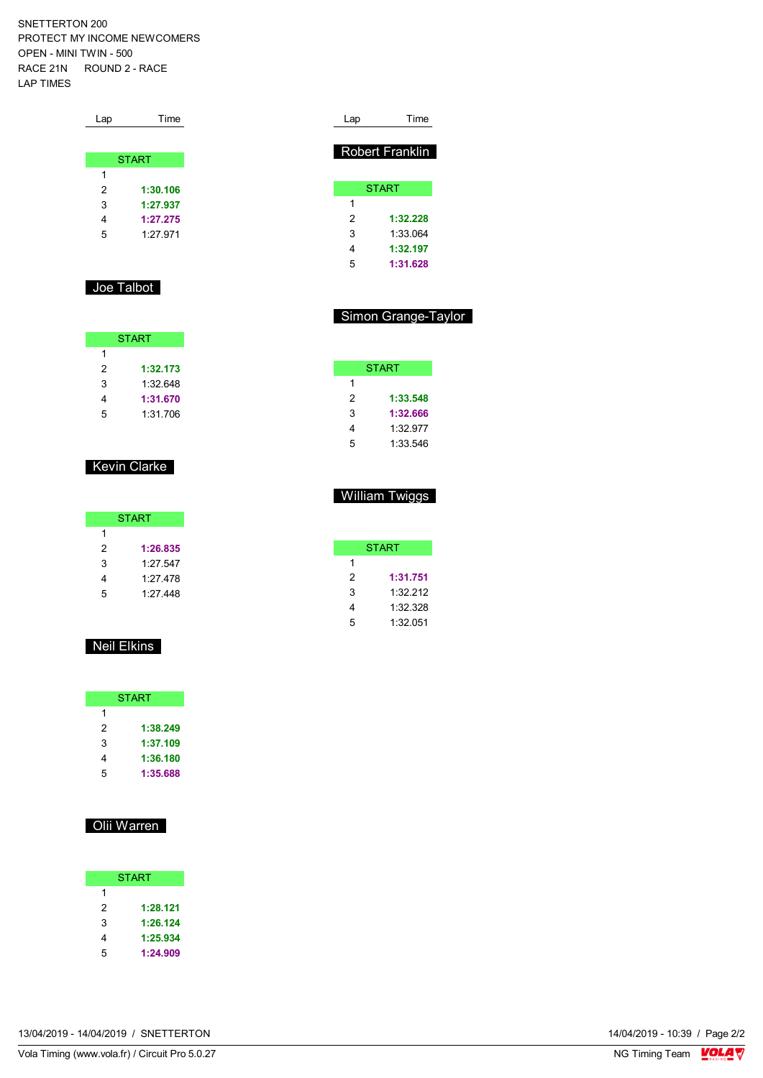SNETTERTON 200 PROTECT MY INCOME NEWCOMERS OPEN - MINI TWIN - 500 RACE 21N ROUND 2 - RACE LAP TIMES

| Lap | Time         |
|-----|--------------|
|     |              |
|     | <b>START</b> |
| 1   |              |
| 2   | 1:30.106     |
| 3   | 1:27.937     |
| 4   | 1:27.275     |
| 5   | 1:27.971     |
|     |              |

#### Joe Talbot

| <b>START</b> |          |  |  |  |  |  |  |  |
|--------------|----------|--|--|--|--|--|--|--|
| 1            |          |  |  |  |  |  |  |  |
| 2            | 1:32.173 |  |  |  |  |  |  |  |
| 3            | 1:32.648 |  |  |  |  |  |  |  |
| 4            | 1:31.670 |  |  |  |  |  |  |  |
| г,           | 1:31.706 |  |  |  |  |  |  |  |

### Kevin Clarke

| <b>START</b> |          |  |  |  |  |  |  |  |
|--------------|----------|--|--|--|--|--|--|--|
| 1            |          |  |  |  |  |  |  |  |
| 2            | 1:26.835 |  |  |  |  |  |  |  |
| 3            | 1.27 547 |  |  |  |  |  |  |  |
| 4            | 1:27.478 |  |  |  |  |  |  |  |
| 5            | 1:27.448 |  |  |  |  |  |  |  |

### Neil Elkins

| <b>START</b> |          |  |  |  |  |  |  |  |
|--------------|----------|--|--|--|--|--|--|--|
| 1            |          |  |  |  |  |  |  |  |
| 2            | 1:38.249 |  |  |  |  |  |  |  |
| 3            | 1:37.109 |  |  |  |  |  |  |  |
| 4            | 1:36.180 |  |  |  |  |  |  |  |
| 5            | 1:35.688 |  |  |  |  |  |  |  |

### Olii Warren

|   | <b>START</b> |
|---|--------------|
| 1 |              |
| 2 | 1:28.121     |
| 3 | 1:26.124     |
| 4 | 1:25.934     |
| 5 | 1:24.909     |

| Lap | Time                   |
|-----|------------------------|
|     | <b>Robert Franklin</b> |
|     | <b>START</b>           |
| 1   |                        |
| 2   | 1:32.228               |
| 3   | 1:33.064               |
| 4   | 1:32.197               |
| 5   | 1:31.628               |

#### Simon Grange-Taylor

| <b>START</b> |          |  |  |  |  |  |  |  |
|--------------|----------|--|--|--|--|--|--|--|
| 1            |          |  |  |  |  |  |  |  |
| 2            | 1:33.548 |  |  |  |  |  |  |  |
| 3            | 1:32.666 |  |  |  |  |  |  |  |
| 4            | 1:32.977 |  |  |  |  |  |  |  |
| 5            | 1:33.546 |  |  |  |  |  |  |  |

### William Twiggs

|   | START    |  |  |  |  |  |  |  |  |  |
|---|----------|--|--|--|--|--|--|--|--|--|
| 1 |          |  |  |  |  |  |  |  |  |  |
| 2 | 1:31.751 |  |  |  |  |  |  |  |  |  |
| 3 | 1:32.212 |  |  |  |  |  |  |  |  |  |
| 4 | 1:32 328 |  |  |  |  |  |  |  |  |  |
| 5 | 1:32051  |  |  |  |  |  |  |  |  |  |